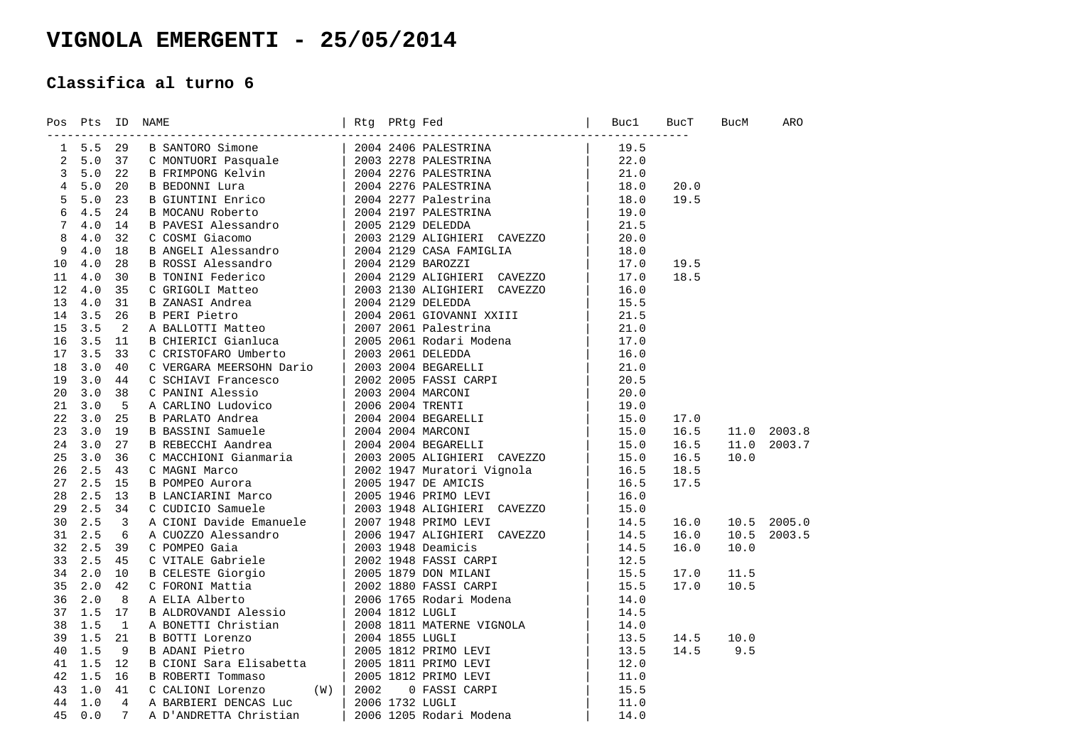## **VIGNOLA EMERGENTI - 25/05/2014**

## **Classifica al turno 6**

|  | Pos Pts ID NAME |                                                                                                                                                                                                                                          | BucT | <b>BucM</b> | ARO |
|--|-----------------|------------------------------------------------------------------------------------------------------------------------------------------------------------------------------------------------------------------------------------------|------|-------------|-----|
|  |                 | 20 Pt. 10 MM2<br>16 L. 20 M SECOND AIGNORS (1980)<br>20 L. 20 M SECOND AIGNORS COMPREHENSION (1980)<br>20 L. 20 M SECOND AIGNORS (1980)<br>20 L. 20 M SECOND AIGNORS (1980)<br>20 L. 20 N SECOND AIGNORS (1980)<br>20 L. 20 N SECOND AIG |      |             |     |
|  |                 |                                                                                                                                                                                                                                          |      |             |     |
|  |                 |                                                                                                                                                                                                                                          |      |             |     |
|  |                 |                                                                                                                                                                                                                                          |      |             |     |
|  |                 |                                                                                                                                                                                                                                          |      |             |     |
|  |                 |                                                                                                                                                                                                                                          |      |             |     |
|  |                 |                                                                                                                                                                                                                                          |      |             |     |
|  |                 |                                                                                                                                                                                                                                          |      |             |     |
|  |                 |                                                                                                                                                                                                                                          |      |             |     |
|  |                 |                                                                                                                                                                                                                                          |      |             |     |
|  |                 |                                                                                                                                                                                                                                          |      |             |     |
|  |                 |                                                                                                                                                                                                                                          |      |             |     |
|  |                 |                                                                                                                                                                                                                                          |      |             |     |
|  |                 |                                                                                                                                                                                                                                          |      |             |     |
|  |                 |                                                                                                                                                                                                                                          |      |             |     |
|  |                 |                                                                                                                                                                                                                                          |      |             |     |
|  |                 |                                                                                                                                                                                                                                          |      |             |     |
|  |                 |                                                                                                                                                                                                                                          |      |             |     |
|  |                 |                                                                                                                                                                                                                                          |      |             |     |
|  |                 |                                                                                                                                                                                                                                          |      |             |     |
|  |                 |                                                                                                                                                                                                                                          |      |             |     |
|  |                 |                                                                                                                                                                                                                                          |      |             |     |
|  |                 |                                                                                                                                                                                                                                          |      |             |     |
|  |                 |                                                                                                                                                                                                                                          |      |             |     |
|  |                 |                                                                                                                                                                                                                                          |      |             |     |
|  |                 |                                                                                                                                                                                                                                          |      |             |     |
|  |                 |                                                                                                                                                                                                                                          |      |             |     |
|  |                 |                                                                                                                                                                                                                                          |      |             |     |
|  |                 |                                                                                                                                                                                                                                          |      |             |     |
|  |                 |                                                                                                                                                                                                                                          |      |             |     |
|  |                 |                                                                                                                                                                                                                                          |      |             |     |
|  |                 |                                                                                                                                                                                                                                          |      |             |     |
|  |                 |                                                                                                                                                                                                                                          |      |             |     |
|  |                 |                                                                                                                                                                                                                                          |      |             |     |
|  |                 |                                                                                                                                                                                                                                          |      |             |     |
|  |                 |                                                                                                                                                                                                                                          |      |             |     |
|  |                 |                                                                                                                                                                                                                                          |      |             |     |
|  |                 |                                                                                                                                                                                                                                          |      |             |     |
|  |                 |                                                                                                                                                                                                                                          |      |             |     |
|  |                 |                                                                                                                                                                                                                                          |      |             |     |
|  |                 |                                                                                                                                                                                                                                          |      |             |     |
|  |                 |                                                                                                                                                                                                                                          |      |             |     |
|  |                 |                                                                                                                                                                                                                                          |      |             |     |
|  |                 |                                                                                                                                                                                                                                          |      |             |     |
|  |                 |                                                                                                                                                                                                                                          |      |             |     |